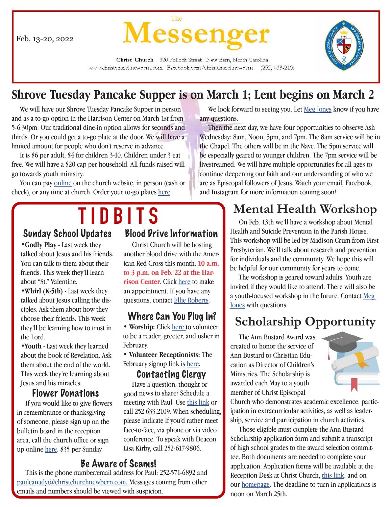Feb. 13-20, 2022



Christ Church 320 Pollock Street New Bern, North Carolina www.christchurchnewbern.com Facebook.com/christchurchnewbern (252) 633-2109

### **Shrove Tuesday Pancake Supper is on March 1; Lent begins on March 2**

 We will have our Shrove Tuesday Pancake Supper in person and as a to-go option in the Harrison Center on March 1st from 5-6:30pm. Our traditional dine-in option allows for seconds and thirds. Or you could get a to-go plate at the door. We will have a limited amount for people who don't reserve in advance.

 It is \$6 per adult, \$4 for children 3-10. Children under 3 eat free. We will have a \$20 cap per household. All funds raised will go towards youth ministry.

You can pay [online](http://www.christchurchnewbern.com/give/) on the church website, in person (cash or check), or any time at church. Order your to-go plates [here.](https://www.signupgenius.com/go/805084ba8af2da7ff2-shrove1)

# **Sunday School Updates Blood Pri**

•**Godly Play** - Last week they talked about Jesus and his friends. You can talk to them about their friends. This week they'll learn about "St." Valentine.

•**Whirl (K-5th)** - Last week they talked about Jesus calling the disciples. Ask them about how they choose their friends. This week they'll be learning how to trust in the Lord.

•**Youth** - Last week they learned about the book of Revelation. Ask them about the end of the world. This week they're learning about Jesus and his miracles.

### Flower Donations

 If you would like to give flowers in remembrance or thanksgiving of someone, please sign up on the bulletin board in the reception area, call the church office or sign up online [here.](http://www.christchurchnewbern.com/give) \$35 per Sunday

### Blood Drive Information

 Christ Church will be hosting another blood drive with the American Red Cross this month. **10 a.m. to 3 p.m. on Feb. 22 at the Harrison Center.** Click [here](https://www.redcross.org/give-blood.html) to make an appointment. If you have any questions, contact [Ellie Roberts.](mailto:ellieroberts%40christchurchnewbern.com?subject=)

### Where Can You Plug In?

• Worship: Click [here](https://www.signupgenius.com/go/409094daea928abff2-february10) to volunteer to be a reader, greeter, and usher in February.

• **Volunteer Receptionists:** The February signup link is [here](https://www.signupgenius.com/go/409094DAEA928ABFF2-february11).

### Contacting Clergy

 Have a question, thought or good news to share? Schedule a meeting with Paul. Use [this link](https://calendly.com/paulcanady/) or call 252.633.2109. When scheduling, please indicate if you'd rather meet face-to-face, via phone or via video conference. To speak with Deacon Lisa Kirby, call 252-617-9806.

**Be Aware of Scams!**<br>This is the phone number/email address for Paul: 252-571-6892 and [paulcanady@christchurchnewbern.com.](mailto:paulcanady%40christchurchnewbern.com?subject=) Messages coming from other emails and numbers should be viewed with suspicion.

We look forward to seeing you. Let [Meg Jones](mailto:Megjones%40christchurchnewbern.com?subject=) know if you have any questions.

 Then the next day, we have four opportunities to observe Ash Wednesday: 8am, Noon, 5pm, and 7pm. The 8am service will be in the Chapel. The others will be in the Nave. The 5pm service will be especially geared to younger children. The 7pm service will be livestreamed. We will have multiple opportunities for all ages to continue deepening our faith and our understanding of who we are as Episcopal followers of Jesus. Watch your email, Facebook, and Instagram for more information coming soon!

## **Mental Health Workshop**

 On Feb. 13th we'll have a workshop about Mental Health and Suicide Prevention in the Parish House. This workshop will be led by Madison Crum from First Presbyterian. We'll talk about research and prevention for individuals and the community. We hope this will be helpful for our community for years to come.

 The workshop is geared toward adults. Youth are invited if they would like to attend. There will also be a youth-focused workshop in the future. Contact [Meg](mailto:Megjones%40christchurchnewbern.com?subject=)  [Jones](mailto:Megjones%40christchurchnewbern.com?subject=) with questions.

### **Scholarship Opportunity**

 The Ann Bustard Award was created to honor the service of Ann Bustard to Christian Education as Director of Children's Ministries. The Scholarship is awarded each May to a youth member of Christ Episcopal



Church who demonstrates academic excellence, participation in extracurricular activities, as well as leadership, service and participation in church activities.

 Those eligible must complete the Ann Bustard Scholarship application form and submit a transcript of high school grades to the award selection committee. Both documents are needed to complete your application. Application forms will be available at the Reception Desk at Christ Church, [this link,](https://docs.google.com/forms/d/e/1FAIpQLSdrwQIkMTUTSjQa2eZSAKXCvOVOERILQNspvHEEl8PkhbdjbA/viewform) and on our [homepage](http://www.christchurchnewbern.com). The deadline to turn in applications is noon on March 25th.